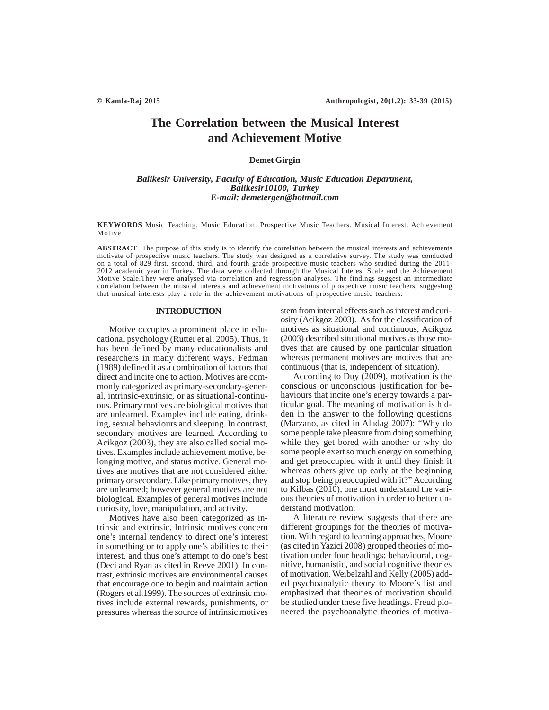# **The Correlation between the Musical Interest and Achievement Motive**

# **Demet Girgin**

# *Balikesir University, Faculty of Education, Music Education Department, Balikesir10100, Turkey E-mail: demetergen@hotmail.com*

**KEYWORDS** Music Teaching. Music Education. Prospective Music Teachers. Musical Interest. Achievement Motive

**ABSTRACT** The purpose of this study is to identify the correlation between the musical interests and achievements motivate of prospective music teachers. The study was designed as a correlative survey. The study was conducted on a total of 829 first, second, third, and fourth grade prospective music teachers who studied during the 2011- 2012 academic year in Turkey. The data were collected through the Musical Interest Scale and the Achievement Motive Scale.They were analysed via correlation and regression analyses. The findings suggest an intermediate correlation between the musical interests and achievement motivations of prospective music teachers, suggesting that musical interests play a role in the achievement motivations of prospective music teachers.

### **INTRODUCTION**

Motive occupies a prominent place in educational psychology (Rutter et al. 2005). Thus, it has been defined by many educationalists and researchers in many different ways. Fedman (1989) defined it as a combination of factors that direct and incite one to action. Motives are commonly categorized as primary-secondary-general, intrinsic-extrinsic, or as situational-continuous. Primary motives are biological motives that are unlearned. Examples include eating, drinking, sexual behaviours and sleeping. In contrast, secondary motives are learned. According to Acikgoz (2003), they are also called social motives. Examples include achievement motive, belonging motive, and status motive. General motives are motives that are not considered either primary or secondary. Like primary motives, they are unlearned; however general motives are not biological. Examples of general motives include curiosity, love, manipulation, and activity.

Motives have also been categorized as intrinsic and extrinsic. Intrinsic motives concern one's internal tendency to direct one's interest in something or to apply one's abilities to their interest, and thus one's attempt to do one's best (Deci and Ryan as cited in Reeve 2001). In contrast, extrinsic motives are environmental causes that encourage one to begin and maintain action (Rogers et al.1999). The sources of extrinsic motives include external rewards, punishments, or pressures whereas the source of intrinsic motives stem from internal effects such as interest and curiosity (Acikgoz 2003). As for the classification of motives as situational and continuous, Acikgoz (2003) described situational motives as those motives that are caused by one particular situation whereas permanent motives are motives that are continuous (that is, independent of situation).

According to Duy (2009), motivation is the conscious or unconscious justification for behaviours that incite one's energy towards a particular goal. The meaning of motivation is hidden in the answer to the following questions (Marzano, as cited in Aladag 2007): "Why do some people take pleasure from doing something while they get bored with another or why do some people exert so much energy on something and get preoccupied with it until they finish it whereas others give up early at the beginning and stop being preoccupied with it?" According to Kilbas (2010), one must understand the various theories of motivation in order to better understand motivation.

A literature review suggests that there are different groupings for the theories of motivation. With regard to learning approaches, Moore (as cited in Yazici 2008) grouped theories of motivation under four headings: behavioural, cognitive, humanistic, and social cognitive theories of motivation. Weibelzahl and Kelly (2005) added psychoanalytic theory to Moore's list and emphasized that theories of motivation should be studied under these five headings. Freud pioneered the psychoanalytic theories of motiva-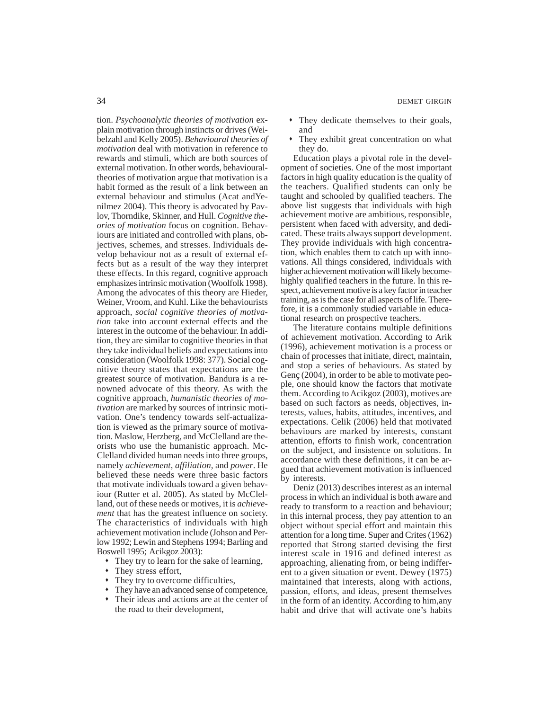tion. *Psychoanalytic theories of motivation* explain motivation through instincts or drives (Weibelzahl and Kelly 2005). *Behavioural theories of motivation* deal with motivation in reference to rewards and stimuli, which are both sources of external motivation. In other words, behaviouraltheories of motivation argue that motivation is a habit formed as the result of a link between an external behaviour and stimulus (Acat andYenilmez 2004). This theory is advocated by Pavlov, Thorndike, Skinner, and Hull. *Cognitive theories of motivation* focus on cognition. Behaviours are initiated and controlled with plans, objectives, schemes, and stresses. Individuals develop behaviour not as a result of external effects but as a result of the way they interpret these effects. In this regard, cognitive approach emphasizes intrinsic motivation (Woolfolk 1998). Among the advocates of this theory are Hieder, Weiner, Vroom, and Kuhl. Like the behaviourists approach, *social cognitive theories of motivation* take into account external effects and the interest in the outcome of the behaviour. In addition, they are similar to cognitive theories in that they take individual beliefs and expectations into consideration (Woolfolk 1998: 377). Social cognitive theory states that expectations are the greatest source of motivation. Bandura is a renowned advocate of this theory. As with the cognitive approach, *humanistic theories of motivation* are marked by sources of intrinsic motivation. One's tendency towards self-actualization is viewed as the primary source of motivation. Maslow, Herzberg, and McClelland are theorists who use the humanistic approach. Mc-Clelland divided human needs into three groups, namely *achievement*, *affiliation,* and *power*. He believed these needs were three basic factors that motivate individuals toward a given behaviour (Rutter et al. 2005). As stated by McClelland, out of these needs or motives, it is *achievement* that has the greatest influence on society. The characteristics of individuals with high achievement motivation include (Johson and Perlow 1992; Lewin and Stephens 1994; Barling and Boswell 1995; Acikgoz 2003):

- They try to learn for the sake of learning,
- They stress effort,
- They try to overcome difficulties,
- They have an advanced sense of competence,
- Their ideas and actions are at the center of the road to their development,
- 34 DEMET GIRGIN
	- They dedicate themselves to their goals, and
	- They exhibit great concentration on what they do.

Education plays a pivotal role in the development of societies. One of the most important factors in high quality education is the quality of the teachers. Qualified students can only be taught and schooled by qualified teachers. The above list suggests that individuals with high achievement motive are ambitious, responsible, persistent when faced with adversity, and dedicated. These traits always support development. They provide individuals with high concentration, which enables them to catch up with innovations. All things considered, individuals with higher achievement motivation will likely becomehighly qualified teachers in the future. In this respect, achievement motive is a key factor in teacher training, as is the case for all aspects of life. Therefore, it is a commonly studied variable in educational research on prospective teachers.

The literature contains multiple definitions of achievement motivation. According to Arik (1996), achievement motivation is a process or chain of processes that initiate, direct, maintain, and stop a series of behaviours. As stated by Genç (2004), in order to be able to motivate people, one should know the factors that motivate them. According to Acikgoz (2003), motives are based on such factors as needs, objectives, interests, values, habits, attitudes, incentives, and expectations. Celik (2006) held that motivated behaviours are marked by interests, constant attention, efforts to finish work, concentration on the subject, and insistence on solutions. In accordance with these definitions, it can be argued that achievement motivation is influenced by interests.

Deniz (2013) describes interest as an internal process in which an individual is both aware and ready to transform to a reaction and behaviour; in this internal process, they pay attention to an object without special effort and maintain this attention for a long time. Super and Crites (1962) reported that Strong started devising the first interest scale in 1916 and defined interest as approaching, alienating from, or being indifferent to a given situation or event. Dewey (1975) maintained that interests, along with actions, passion, efforts, and ideas, present themselves in the form of an identity. According to him,any habit and drive that will activate one's habits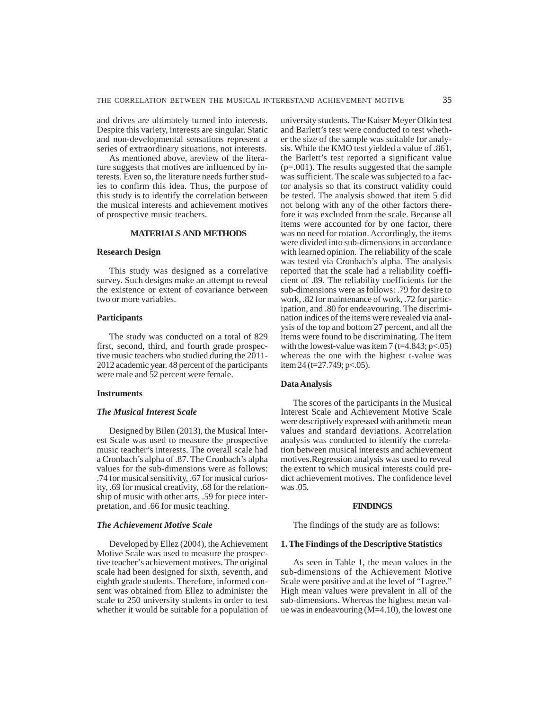and drives are ultimately turned into interests. Despite this variety, interests are singular. Static and non-developmental sensations represent a series of extraordinary situations, not interests.

As mentioned above, areview of the literature suggests that motives are influenced by interests. Even so, the literature needs further studies to confirm this idea. Thus, the purpose of this study is to identify the correlation between the musical interests and achievement motives of prospective music teachers.

#### **MATERIALS AND METHODS**

# **Research Design**

This study was designed as a correlative survey. Such designs make an attempt to reveal the existence or extent of covariance between two or more variables.

# **Participants**

The study was conducted on a total of 829 first, second, third, and fourth grade prospective music teachers who studied during the 2011- 2012 academic year. 48 percent of the participants were male and 52 percent were female.

### **Instruments**

#### *The Musical Interest Scale*

Designed by Bilen (2013), the Musical Interest Scale was used to measure the prospective music teacher's interests. The overall scale had a Cronbach's alpha of .87. The Cronbach's alpha values for the sub-dimensions were as follows: .74 for musical sensitivity, .67 for musical curiosity, .69 for musical creativity, .68 for the relationship of music with other arts, .59 for piece interpretation, and .66 for music teaching.

### *The Achievement Motive Scale*

Developed by Ellez (2004), the Achievement Motive Scale was used to measure the prospective teacher's achievement motives. The original scale had been designed for sixth, seventh, and eighth grade students. Therefore, informed consent was obtained from Ellez to administer the scale to 250 university students in order to test whether it would be suitable for a population of university students. The Kaiser Meyer Olkin test and Barlett's test were conducted to test whether the size of the sample was suitable for analysis. While the KMO test yielded a value of .861, the Barlett's test reported a significant value (p=.001). The results suggested that the sample was sufficient. The scale was subjected to a factor analysis so that its construct validity could be tested. The analysis showed that item 5 did not belong with any of the other factors therefore it was excluded from the scale. Because all items were accounted for by one factor, there was no need for rotation. Accordingly, the items were divided into sub-dimensions in accordance with learned opinion. The reliability of the scale was tested via Cronbach's alpha. The analysis reported that the scale had a reliability coefficient of .89. The reliability coefficients for the sub-dimensions were as follows: .79 for desire to work, .82 for maintenance of work, .72 for participation, and .80 for endeavouring. The discrimination indices of the items were revealed via analysis of the top and bottom 27 percent, and all the items were found to be discriminating. The item with the lowest-value was item 7 (t=4.843; p<.05) whereas the one with the highest t-value was item 24 (t=27.749; p<.05).

# **Data Analysis**

The scores of the participants in the Musical Interest Scale and Achievement Motive Scale were descriptively expressed with arithmetic mean values and standard deviations. Acorrelation analysis was conducted to identify the correlation between musical interests and achievement motives.Regression analysis was used to reveal the extent to which musical interests could predict achievement motives. The confidence level was .05.

#### **FINDINGS**

The findings of the study are as follows:

#### **1. The Findings of the Descriptive Statistics**

As seen in Table 1, the mean values in the sub-dimensions of the Achievement Motive Scale were positive and at the level of "I agree." High mean values were prevalent in all of the sub-dimensions. Whereas the highest mean value was in endeavouring (M=4.10), the lowest one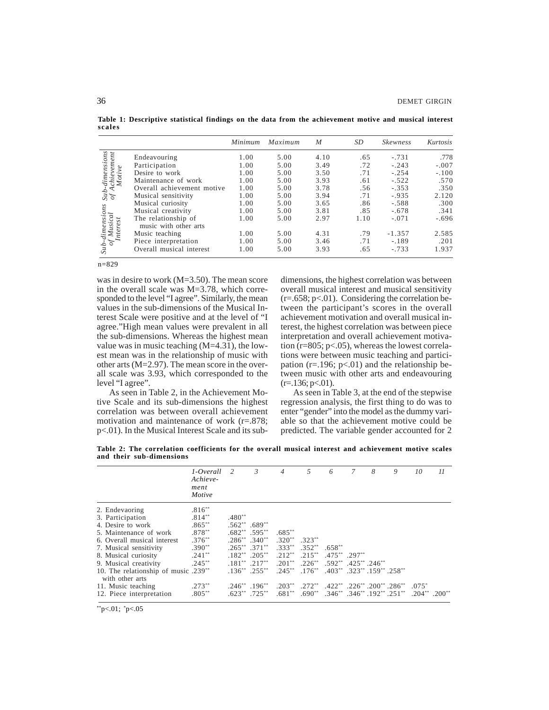**Table 1: Descriptive statistical findings on the data from the achievement motive and musical interest scales**

|                                                                                           |                                              | Minimum | Maximum | $\boldsymbol{M}$ | SD   | <b>Skewness</b> | Kurtosis |
|-------------------------------------------------------------------------------------------|----------------------------------------------|---------|---------|------------------|------|-----------------|----------|
|                                                                                           | Endeavouring                                 | 1.00    | 5.00    | 4.10             | .65  | $-.731$         | .778     |
|                                                                                           | Participation                                | 1.00    | 5.00    | 3.49             | .72  | $-.243$         | $-.007$  |
|                                                                                           | Desire to work                               | 1.00    | 5.00    | 3.50             | .71  | $-.254$         | $-.100$  |
| Sub-dimensions<br>of Achievement<br>Motive<br>dimensions<br>Musical<br>Interest<br>$Sub-$ | Maintenance of work                          | 1.00    | 5.00    | 3.93             | .61  | $-.522$         | .570     |
|                                                                                           | Overall achievement motive                   | 1.00    | 5.00    | 3.78             | .56  | $-.353$         | .350     |
|                                                                                           | Musical sensitivity                          | 1.00    | 5.00    | 3.94             | .71  | $-.935$         | 2.120    |
|                                                                                           | Musical curiosity                            | 1.00    | 5.00    | 3.65             | .86  | $-.588$         | .300     |
|                                                                                           | Musical creativity                           | 1.00    | 5.00    | 3.81             | .85  | $-.678$         | .341     |
|                                                                                           | The relationship of<br>music with other arts | 1.00    | 5.00    | 2.97             | 1.10 | $-.071$         | $-.696$  |
|                                                                                           | Music teaching                               | 1.00    | 5.00    | 4.31             | .79  | $-1.357$        | 2.585    |
|                                                                                           | Piece interpretation                         | 1.00    | 5.00    | 3.46             | .71  | $-.189$         | .201     |
|                                                                                           | Overall musical interest                     | 1.00    | 5.00    | 3.93             | .65  | $-.733$         | 1.937    |
| $n = 829$                                                                                 |                                              |         |         |                  |      |                 |          |

was in desire to work (M=3.50). The mean score in the overall scale was M=3.78, which corresponded to the level "I agree". Similarly, the mean values in the sub-dimensions of the Musical Interest Scale were positive and at the level of "I agree."High mean values were prevalent in all the sub-dimensions. Whereas the highest mean value was in music teaching  $(M=4.31)$ , the lowest mean was in the relationship of music with other arts (M=2.97). The mean score in the overall scale was 3.93, which corresponded to the level "I agree".

As seen in Table 2, in the Achievement Motive Scale and its sub-dimensions the highest correlation was between overall achievement motivation and maintenance of work (r=.878; p<.01). In the Musical Interest Scale and its subdimensions, the highest correlation was between overall musical interest and musical sensitivity  $(r=.658; p<.01)$ . Considering the correlation between the participant's scores in the overall achievement motivation and overall musical interest, the highest correlation was between piece interpretation and overall achievement motivation  $(r=805; p<.05)$ , whereas the lowest correlations were between music teaching and participation ( $r = 196$ ;  $p < 01$ ) and the relationship between music with other arts and endeavouring  $(r=136; p<.01)$ .

As seen in Table 3, at the end of the stepwise regression analysis, the first thing to do was to enter "gender" into the model as the dummy variable so that the achievement motive could be predicted. The variable gender accounted for 2

**Table 2: The correlation coefficients for the overall musical interest and achievement motive scales and their sub-dimensions**

|                                                         | 1-Overall 2<br>Achieve-<br>ment<br>Motive |                             | $\mathfrak{Z}$        | $\overline{4}$ | 5         | 6                                                   | 7 | 8 | 9 | 10                            | 11 |
|---------------------------------------------------------|-------------------------------------------|-----------------------------|-----------------------|----------------|-----------|-----------------------------------------------------|---|---|---|-------------------------------|----|
| 2. Endevaoring                                          | $.816**$                                  |                             |                       |                |           |                                                     |   |   |   |                               |    |
| 3. Participation                                        | $.814***$                                 | $.480**$                    |                       |                |           |                                                     |   |   |   |                               |    |
| 4. Desire to work                                       | $.865***$                                 | $.562**$ .689**             |                       |                |           |                                                     |   |   |   |                               |    |
| 5. Maintenance of work                                  | $.878***$                                 | $.682**$ .595**             |                       | $.685**$       |           |                                                     |   |   |   |                               |    |
| 6. Overall musical interest                             | $.376**$                                  | $.286^{**}$ $.340^{**}$     |                       | $.320**$       | $.323**$  |                                                     |   |   |   |                               |    |
| 7. Musical sensitivity                                  | $.390**$                                  | $.265***$ $.371***$         |                       | $.333***$      | $.352**$  | $.658**$                                            |   |   |   |                               |    |
| 8. Musical curiosity                                    | $.241**$                                  | $.182**$ .205 <sup>**</sup> |                       | $.212**$       | $.215***$ | $.475***$ .297**                                    |   |   |   |                               |    |
| 9. Musical creativity                                   | $.245***$                                 | $.181***$ $.217**$          |                       | $.201**$       | $.226***$ | $.592***$ $.425**$ $.246**$                         |   |   |   |                               |    |
| 10. The relationship of music .239**<br>with other arts |                                           | $.136***$ $.255***$         |                       | $.245***$      | $.176***$ | $0.403^{**}$ $0.323^{**}$ $0.159^{**}$ $0.258^{**}$ |   |   |   |                               |    |
| 11. Music teaching                                      | $.273**$                                  |                             | $.246$ $*$ $.196$ $*$ | $.203***$      | $.272**$  | $.422^{**}$ $.226^{**}$ $.200^{**}$ $.286^{**}$     |   |   |   | $.075*$                       |    |
| 12. Piece interpretation                                | $.805***$                                 | $.623***$ .725**            |                       | $.681**$       | $.690**$  | $0.346^{**}$ $0.346^{**}$ $0.192^{**}$ $0.251^{**}$ |   |   |   | $.204***$ . 200 <sup>**</sup> |    |

 $*$ p<.01;  $*$ p<.05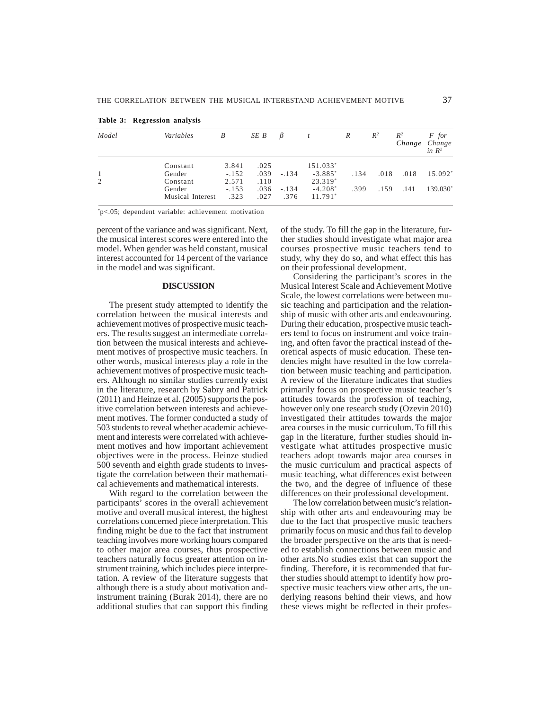| Model | Variables          | B                | SE B         | $\beta$ |                       | R    | $R^2$ | $R^2$ | F for<br>Change Change<br>in $R^2$ |
|-------|--------------------|------------------|--------------|---------|-----------------------|------|-------|-------|------------------------------------|
|       | Constant<br>Gender | 3.841<br>$-.152$ | .025<br>.039 | $-.134$ | 151.033*<br>$-3.885*$ | .134 | .018  | .018  | 15.092*                            |
| 2     | Constant<br>Gender | 2.571<br>$-.153$ | .110<br>.036 | $-.134$ | 23.319*<br>$-4.208*$  | .399 | .159  | .141  | 139.030*                           |
|       | Musical Interest   | .323             | .027         | .376    | 11.791*               |      |       |       |                                    |

**Table 3: Regression analysis**

\* p<.05; dependent variable: achievement motivation

percent of the variance and was significant. Next, the musical interest scores were entered into the model. When gender was held constant, musical interest accounted for 14 percent of the variance in the model and was significant.

## **DISCUSSION**

The present study attempted to identify the correlation between the musical interests and achievement motives of prospective music teachers. The results suggest an intermediate correlation between the musical interests and achievement motives of prospective music teachers. In other words, musical interests play a role in the achievement motives of prospective music teachers. Although no similar studies currently exist in the literature, research by Sabry and Patrick (2011) and Heinze et al. (2005) supports the positive correlation between interests and achievement motives. The former conducted a study of 503 students to reveal whether academic achievement and interests were correlated with achievement motives and how important achievement objectives were in the process. Heinze studied 500 seventh and eighth grade students to investigate the correlation between their mathematical achievements and mathematical interests.

With regard to the correlation between the participants' scores in the overall achievement motive and overall musical interest, the highest correlations concerned piece interpretation. This finding might be due to the fact that instrument teaching involves more working hours compared to other major area courses, thus prospective teachers naturally focus greater attention on instrument training, which includes piece interpretation. A review of the literature suggests that although there is a study about motivation andinstrument training (Burak 2014), there are no additional studies that can support this finding

of the study. To fill the gap in the literature, further studies should investigate what major area courses prospective music teachers tend to study, why they do so, and what effect this has on their professional development.

Considering the participant's scores in the Musical Interest Scale and Achievement Motive Scale, the lowest correlations were between music teaching and participation and the relationship of music with other arts and endeavouring. During their education, prospective music teachers tend to focus on instrument and voice training, and often favor the practical instead of theoretical aspects of music education. These tendencies might have resulted in the low correlation between music teaching and participation. A review of the literature indicates that studies primarily focus on prospective music teacher's attitudes towards the profession of teaching, however only one research study (Ozevin 2010) investigated their attitudes towards the major area courses in the music curriculum. To fill this gap in the literature, further studies should investigate what attitudes prospective music teachers adopt towards major area courses in the music curriculum and practical aspects of music teaching, what differences exist between the two, and the degree of influence of these differences on their professional development.

The low correlation between music's relationship with other arts and endeavouring may be due to the fact that prospective music teachers primarily focus on music and thus fail to develop the broader perspective on the arts that is needed to establish connections between music and other arts.No studies exist that can support the finding. Therefore, it is recommended that further studies should attempt to identify how prospective music teachers view other arts, the underlying reasons behind their views, and how these views might be reflected in their profes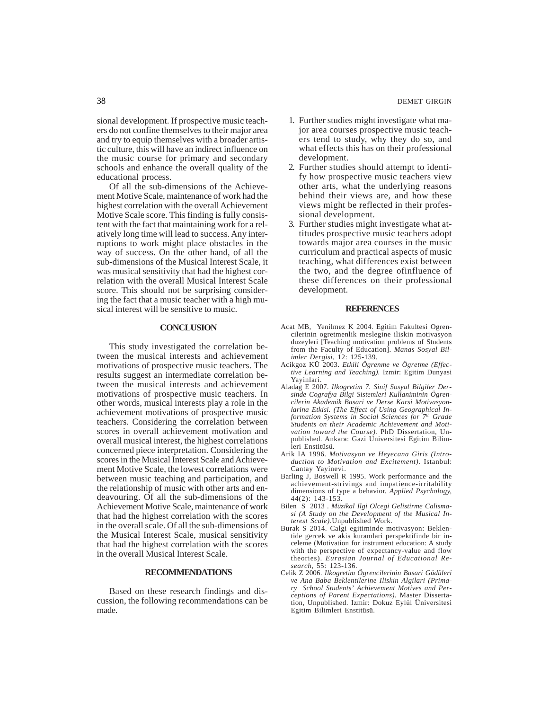sional development. If prospective music teachers do not confine themselves to their major area and try to equip themselves with a broader artistic culture, this will have an indirect influence on the music course for primary and secondary schools and enhance the overall quality of the educational process.

Of all the sub-dimensions of the Achievement Motive Scale, maintenance of work had the highest correlation with the overall Achievement Motive Scale score. This finding is fully consistent with the fact that maintaining work for a relatively long time will lead to success. Any interruptions to work might place obstacles in the way of success. On the other hand, of all the sub-dimensions of the Musical Interest Scale, it was musical sensitivity that had the highest correlation with the overall Musical Interest Scale score. This should not be surprising considering the fact that a music teacher with a high musical interest will be sensitive to music.

# **CONCLUSION**

This study investigated the correlation between the musical interests and achievement motivations of prospective music teachers. The results suggest an intermediate correlation between the musical interests and achievement motivations of prospective music teachers. In other words, musical interests play a role in the achievement motivations of prospective music teachers. Considering the correlation between scores in overall achievement motivation and overall musical interest, the highest correlations concerned piece interpretation. Considering the scores in the Musical Interest Scale and Achievement Motive Scale, the lowest correlations were between music teaching and participation, and the relationship of music with other arts and endeavouring. Of all the sub-dimensions of the Achievement Motive Scale, maintenance of work that had the highest correlation with the scores in the overall scale. Of all the sub-dimensions of the Musical Interest Scale, musical sensitivity that had the highest correlation with the scores in the overall Musical Interest Scale.

#### **RECOMMENDATIONS**

Based on these research findings and discussion, the following recommendations can be made.

- 1. Further studies might investigate what major area courses prospective music teachers tend to study, why they do so, and what effects this has on their professional development.
- 2. Further studies should attempt to identify how prospective music teachers view other arts, what the underlying reasons behind their views are, and how these views might be reflected in their professional development.
- 3. Further studies might investigate what attitudes prospective music teachers adopt towards major area courses in the music curriculum and practical aspects of music teaching, what differences exist between the two, and the degree ofinfluence of these differences on their professional development.

#### **REFERENCES**

- Acat MB, Yenilmez K 2004. Egitim Fakultesi Ogrencilerinin ogretmenlik meslegine iliskin motivasyon duzeyleri [Teaching motivation problems of Students from the Faculty of Education]. *Manas Sosyal Bilimler Dergisi*, 12: 125-139.
- Acikgoz KÜ 2003. *Etkili Ögrenme ve Ögretme (Effective Learning and Teaching).* Izmir: Egitim Dunyasi Yayinlari.
- Aladag E 2007. *Ilkogretim 7. Sinif Sosyal Bilgiler Dersinde Cografya Bilgi Sistemleri Kullaniminin Ögrencilerin Akademik Basari ve Derse Karsi Motivasyonlarina Etkisi. (The Effect of Using Geographical Information Systems in Social Sciences for 7th Grade Students on their Academic Achievement and Motivation toward the Course).* PhD Dissertation, Unpublished. Ankara: Gazi Universitesi Egitim Bilimleri Enstitüsü.
- Arik IA 1996. *Motivasyon ve Heyecana Giris (Introduction to Motivation and Excitement).* Istanbul: Cantay Yayinevi.
- Barling J, Boswell R 1995. Work performance and the achievement-strivings and impatience-irritability dimensions of type a behavior. *Applied Psychology,* 44(2): 143-153.
- Bilen S 2013 . *Müzikal Ilgi Olcegi Gelistirme Calismasi (A Study on the Development of the Musical Interest Scale).*Unpublished Work.
- Burak S 2014. Calgi egitiminde motivasyon: Beklentide gercek ve akis kuramlari perspektifinde bir inceleme (Motivation for instrument education: A study with the perspective of expectancy-value and flow theories). *Eurasian Journal of Educational Research,* 55: 123-136.
- Celik Z 2006. *Ilkogretim Ögrencilerinin Basari Güdüleri ve Ana Baba Beklentilerine Iliskin Algilari (Primary School Students' Achievement Motives and Perceptions of Parent Expectations).* Master Dissertation, Unpublished. Izmir: Dokuz Eylül Üniversitesi Egitim Bilimleri Enstitüsü.